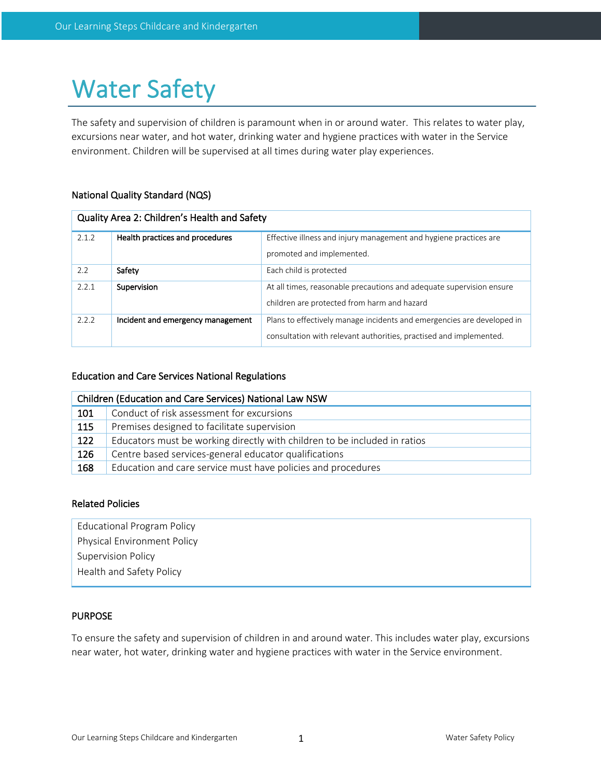# Water Safety

The safety and supervision of children is paramount when in or around water. This relates to water play, excursions near water, and hot water, drinking water and hygiene practices with water in the Service environment. Children will be supervised at all times during water play experiences.

## National Quality Standard (NQS)

| Quality Area 2: Children's Health and Safety |                                   |                                                                        |  |  |
|----------------------------------------------|-----------------------------------|------------------------------------------------------------------------|--|--|
| 2.1.2                                        | Health practices and procedures   | Effective illness and injury management and hygiene practices are      |  |  |
|                                              |                                   | promoted and implemented.                                              |  |  |
| 2.2                                          | Safety                            | Each child is protected                                                |  |  |
| 2.2.1                                        | Supervision                       | At all times, reasonable precautions and adequate supervision ensure   |  |  |
|                                              |                                   | children are protected from harm and hazard                            |  |  |
| 2.2.2                                        | Incident and emergency management | Plans to effectively manage incidents and emergencies are developed in |  |  |
|                                              |                                   | consultation with relevant authorities, practised and implemented.     |  |  |

## Education and Care Services National Regulations

| Children (Education and Care Services) National Law NSW |                                                                           |  |  |
|---------------------------------------------------------|---------------------------------------------------------------------------|--|--|
| 101                                                     | Conduct of risk assessment for excursions                                 |  |  |
| 115                                                     | Premises designed to facilitate supervision                               |  |  |
| 122                                                     | Educators must be working directly with children to be included in ratios |  |  |
| 126                                                     | Centre based services-general educator qualifications                     |  |  |
| 168                                                     | Education and care service must have policies and procedures              |  |  |

## Related Policies

Educational Program Policy

Physical Environment Policy

Supervision Policy

Health and Safety Policy

## PURPOSE

To ensure the safety and supervision of children in and around water. This includes water play, excursions near water, hot water, drinking water and hygiene practices with water in the Service environment.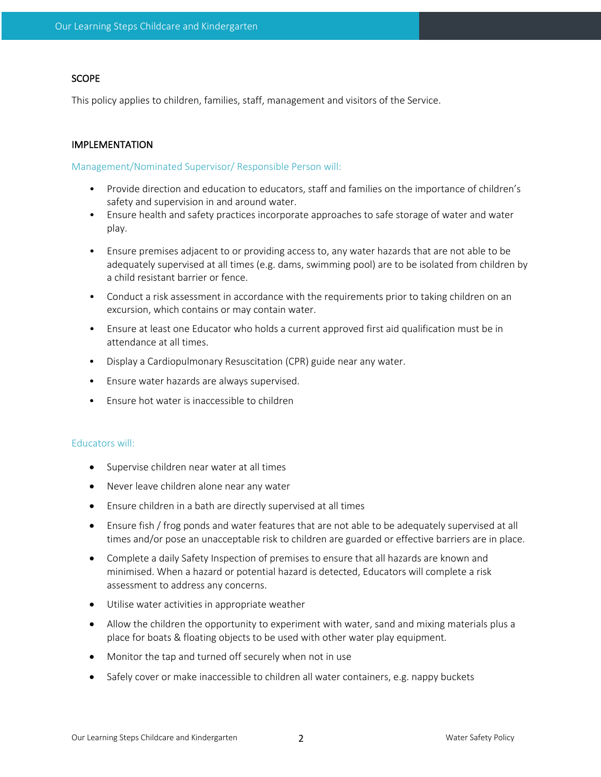## **SCOPE**

This policy applies to children, families, staff, management and visitors of the Service.

## IMPLEMENTATION

#### Management/Nominated Supervisor/ Responsible Person will:

- Provide direction and education to educators, staff and families on the importance of children's safety and supervision in and around water.
- Ensure health and safety practices incorporate approaches to safe storage of water and water play.
- Ensure premises adjacent to or providing access to, any water hazards that are not able to be adequately supervised at all times (e.g. dams, swimming pool) are to be isolated from children by a child resistant barrier or fence.
- Conduct a risk assessment in accordance with the requirements prior to taking children on an excursion, which contains or may contain water.
- Ensure at least one Educator who holds a current approved first aid qualification must be in attendance at all times.
- Display a Cardiopulmonary Resuscitation (CPR) guide near any water.
- Ensure water hazards are always supervised.
- Ensure hot water is inaccessible to children

#### Educators will:

- Supervise children near water at all times
- Never leave children alone near any water
- Ensure children in a bath are directly supervised at all times
- Ensure fish / frog ponds and water features that are not able to be adequately supervised at all times and/or pose an unacceptable risk to children are guarded or effective barriers are in place.
- Complete a daily Safety Inspection of premises to ensure that all hazards are known and minimised. When a hazard or potential hazard is detected, Educators will complete a risk assessment to address any concerns.
- Utilise water activities in appropriate weather
- Allow the children the opportunity to experiment with water, sand and mixing materials plus a place for boats & floating objects to be used with other water play equipment.
- Monitor the tap and turned off securely when not in use
- Safely cover or make inaccessible to children all water containers, e.g. nappy buckets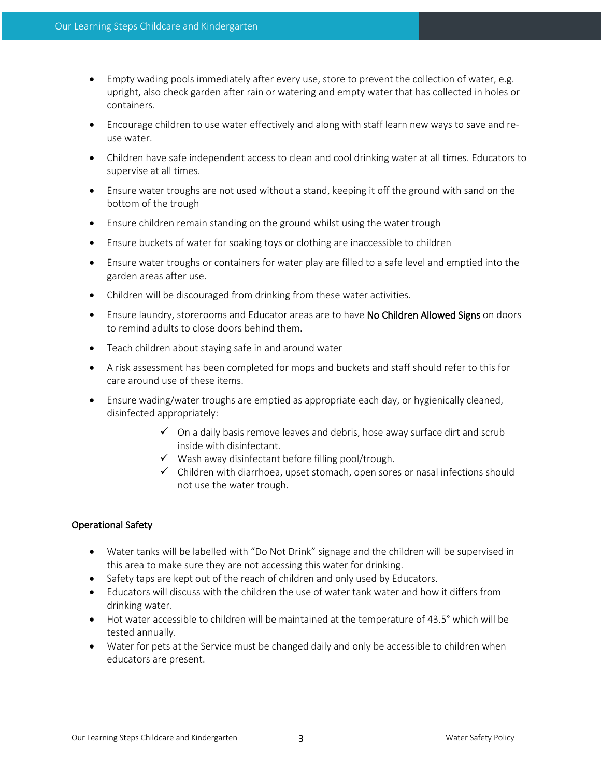- Empty wading pools immediately after every use, store to prevent the collection of water, e.g. upright, also check garden after rain or watering and empty water that has collected in holes or containers.
- Encourage children to use water effectively and along with staff learn new ways to save and reuse water.
- Children have safe independent access to clean and cool drinking water at all times. Educators to supervise at all times.
- Ensure water troughs are not used without a stand, keeping it off the ground with sand on the bottom of the trough
- Ensure children remain standing on the ground whilst using the water trough
- Ensure buckets of water for soaking toys or clothing are inaccessible to children
- Ensure water troughs or containers for water play are filled to a safe level and emptied into the garden areas after use.
- Children will be discouraged from drinking from these water activities.
- Ensure laundry, storerooms and Educator areas are to have No Children Allowed Signs on doors to remind adults to close doors behind them.
- Teach children about staying safe in and around water
- A risk assessment has been completed for mops and buckets and staff should refer to this for care around use of these items.
- Ensure wading/water troughs are emptied as appropriate each day, or hygienically cleaned, disinfected appropriately:
	- $\checkmark$  On a daily basis remove leaves and debris, hose away surface dirt and scrub inside with disinfectant.
	- $\checkmark$  Wash away disinfectant before filling pool/trough.
	- $\checkmark$  Children with diarrhoea, upset stomach, open sores or nasal infections should not use the water trough.

#### Operational Safety

- Water tanks will be labelled with "Do Not Drink" signage and the children will be supervised in this area to make sure they are not accessing this water for drinking.
- Safety taps are kept out of the reach of children and only used by Educators.
- Educators will discuss with the children the use of water tank water and how it differs from drinking water.
- Hot water accessible to children will be maintained at the temperature of 43.5° which will be tested annually.
- Water for pets at the Service must be changed daily and only be accessible to children when educators are present.